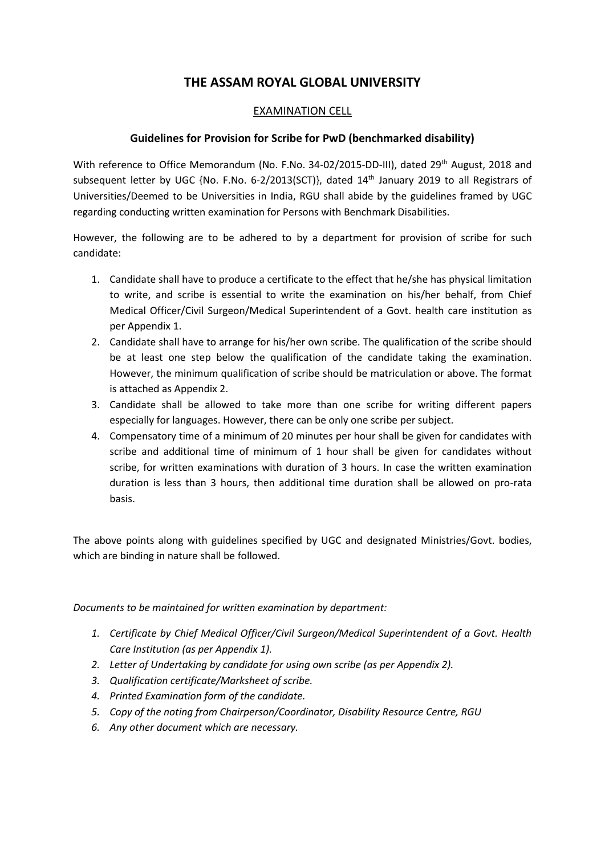## **THE ASSAM ROYAL GLOBAL UNIVERSITY**

## EXAMINATION CELL

## **Guidelines for Provision for Scribe for PwD (benchmarked disability)**

With reference to Office Memorandum (No. F.No. 34-02/2015-DD-III), dated 29<sup>th</sup> August, 2018 and subsequent letter by UGC {No. F.No. 6-2/2013(SCT)}, dated 14<sup>th</sup> January 2019 to all Registrars of Universities/Deemed to be Universities in India, RGU shall abide by the guidelines framed by UGC regarding conducting written examination for Persons with Benchmark Disabilities.

However, the following are to be adhered to by a department for provision of scribe for such candidate:

- 1. Candidate shall have to produce a certificate to the effect that he/she has physical limitation to write, and scribe is essential to write the examination on his/her behalf, from Chief Medical Officer/Civil Surgeon/Medical Superintendent of a Govt. health care institution as per Appendix 1.
- 2. Candidate shall have to arrange for his/her own scribe. The qualification of the scribe should be at least one step below the qualification of the candidate taking the examination. However, the minimum qualification of scribe should be matriculation or above. The format is attached as Appendix 2.
- 3. Candidate shall be allowed to take more than one scribe for writing different papers especially for languages. However, there can be only one scribe per subject.
- 4. Compensatory time of a minimum of 20 minutes per hour shall be given for candidates with scribe and additional time of minimum of 1 hour shall be given for candidates without scribe, for written examinations with duration of 3 hours. In case the written examination duration is less than 3 hours, then additional time duration shall be allowed on pro-rata basis.

The above points along with guidelines specified by UGC and designated Ministries/Govt. bodies, which are binding in nature shall be followed.

*Documents to be maintained for written examination by department:*

- *1. Certificate by Chief Medical Officer/Civil Surgeon/Medical Superintendent of a Govt. Health Care Institution (as per Appendix 1).*
- *2. Letter of Undertaking by candidate for using own scribe (as per Appendix 2).*
- *3. Qualification certificate/Marksheet of scribe.*
- *4. Printed Examination form of the candidate.*
- *5. Copy of the noting from Chairperson/Coordinator, Disability Resource Centre, RGU*
- *6. Any other document which are necessary.*